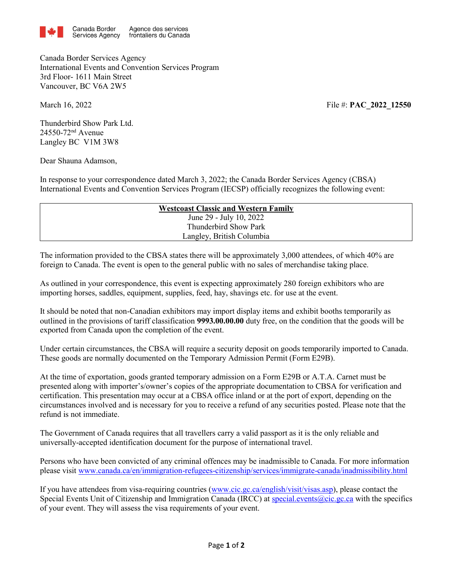

Canada Border Services Agency International Events and Convention Services Program 3rd Floor- 1611 Main Street Vancouver, BC V6A 2W5

March 16, 2022 **File #: <b>PAC\_2022** 12550

Thunderbird Show Park Ltd. 24550-72nd Avenue Langley BC V1M 3W8

Dear Shauna Adamson,

In response to your correspondence dated March 3, 2022; the Canada Border Services Agency (CBSA) International Events and Convention Services Program (IECSP) officially recognizes the following event:

| <b>Westcoast Classic and Western Family</b> |                           |  |
|---------------------------------------------|---------------------------|--|
|                                             | June 29 - July 10, 2022   |  |
|                                             | Thunderbird Show Park     |  |
|                                             | Langley, British Columbia |  |

The information provided to the CBSA states there will be approximately 3,000 attendees, of which 40% are foreign to Canada. The event is open to the general public with no sales of merchandise taking place.

As outlined in your correspondence, this event is expecting approximately 280 foreign exhibitors who are importing horses, saddles, equipment, supplies, feed, hay, shavings etc. for use at the event.

It should be noted that non-Canadian exhibitors may import display items and exhibit booths temporarily as outlined in the provisions of tariff classification **9993.00.00.00** duty free, on the condition that the goods will be exported from Canada upon the completion of the event.

Under certain circumstances, the CBSA will require a security deposit on goods temporarily imported to Canada. These goods are normally documented on the Temporary Admission Permit (Form E29B).

At the time of exportation, goods granted temporary admission on a Form E29B or A.T.A. Carnet must be presented along with importer's/owner's copies of the appropriate documentation to CBSA for verification and certification. This presentation may occur at a CBSA office inland or at the port of export, depending on the circumstances involved and is necessary for you to receive a refund of any securities posted. Please note that the refund is not immediate.

The Government of Canada requires that all travellers carry a valid passport as it is the only reliable and universally-accepted identification document for the purpose of international travel.

Persons who have been convicted of any criminal offences may be inadmissible to Canada. For more information please visit www.canada.ca/en/immigration-refugees-citizenship/services/immigrate-canada/inadmissibility.html

If you have attendees from visa-requiring countries (www.cic.gc.ca/english/visit/visas.asp), please contact the Special Events Unit of Citizenship and Immigration Canada (IRCC) at [special.events@cic.gc.ca](mailto:special.events@cic.gc.ca) with the specifics of your event. They will assess the visa requirements of your event.